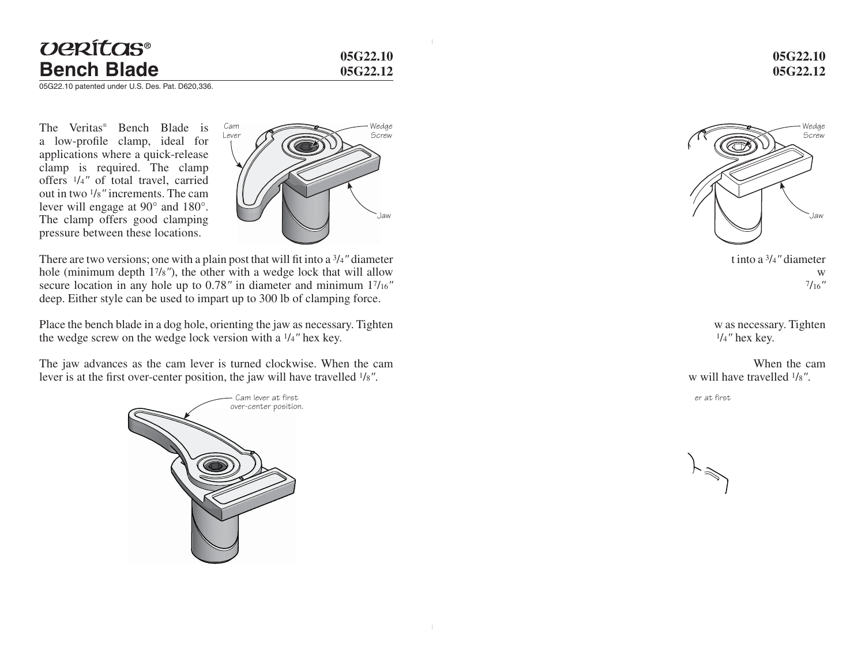## *UERÍTAS®* **Bench Blade**

**05G22.1005G22.12**

05G22.10 patented under U.S. Des. Pat. D620,336.

The Veritas® Bench Blade is a low-profile clamp, ideal for applications where a quick-release clamp is required. The clamp offers 1/4*"* of total travel, carried out in two 1/8*"* increments. The cam lever will engage at 90° and 180°. The clamp offers good clamping pressure between these locations.



There are two versions; one with a plain post that will fit into a 3/4" diameter hole (minimum depth 17/8*"*), the other with a wedge lock that will allow secure location in any hole up to 0.78*"* in diameter and minimum 17/16*"* deep. Either style can be used to impart up to 300 lb of clamping force.

Place the bench blade in a dog hole, orienting the jaw as necessary. Tighten the wedge screw on the wedge lock version with a 1/4*"* hex key.

The jaw advances as the cam lever is turned clockwise. When the cam lever is at the first over-center position, the jaw will have travelled  $1/8$ ".